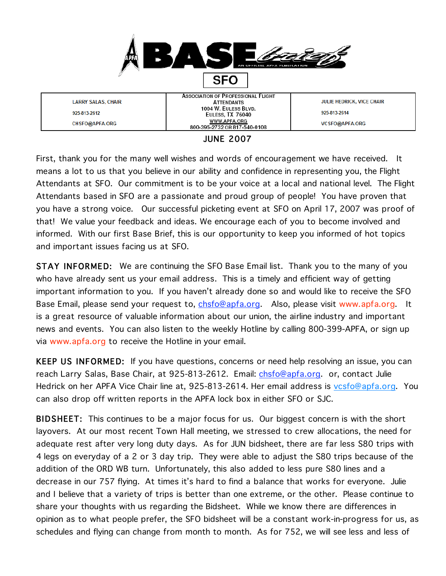

**LARRY SALAS, CHAIR** 925-813-2612 CHSFO@APFA.ORG

## **ASSOCIATION OF PROFESSIONAL FLIGHT ATTENDANTS** 1004 W. EULESS BLVD. **EULESS, TX 76040** WWW.APFA.ORG 800-395-2732 OR 817-540-0108

**JULIE HEDRICK, VICE CHAIR** 925-813-2614 VCSFO@APFA.ORG

## JUNE 2007

First, thank you for the many well wishes and words of encouragement we have received. It means a lot to us that you believe in our ability and confidence in representing you, the Flight Attendants at SFO. Our commitment is to be your voice at a local and national level. The Flight Attendants based in SFO are a passionate and proud group of people! You have proven that you have a strong voice. Our successful picketing event at SFO on April 17, 2007 was proof of that! We value your feedback and ideas. We encourage each of you to become involved and informed. With our first Base Brief, this is our opportunity to keep you informed of hot topics and important issues facing us at SFO.

STAY INFORMED: We are continuing the SFO Base Email list. Thank you to the many of you who have already sent us your email address. This is a timely and efficient way of getting important information to you. If you haven't already done so and would like to receive the SFO Base Email, please send your request to, chsfo@apfa.org. Also, please visit www.apfa.org. It is a great resource of valuable information about our union, the airline industry and important news and events. You can also listen to the weekly Hotline by calling 800-399-APFA, or sign up via www.apfa.org to receive the Hotline in your email.

KEEP US INFORMED: If you have questions, concerns or need help resolving an issue, you can reach Larry Salas, Base Chair, at 925-813-2612. Email: chsfo@apfa.org. or, contact Julie Hedrick on her APFA Vice Chair line at, 925-813-2614. Her email address is vesfo@apfa.org. You can also drop off written reports in the APFA lock box in either SFO or SJC.

BIDSHEET: This continues to be a major focus for us. Our biggest concern is with the short layovers. At our most recent Town Hall meeting, we stressed to crew allocations, the need for adequate rest after very long duty days. As for JUN bidsheet, there are far less S80 trips with 4 legs on everyday of a 2 or 3 day trip. They were able to adjust the S80 trips because of the addition of the ORD WB turn. Unfortunately, this also added to less pure S80 lines and a decrease in our 757 flying. At times it's hard to find a balance that works for everyone. Julie and I believe that a variety of trips is better than one extreme, or the other. Please continue to share your thoughts with us regarding the Bidsheet. While we know there are differences in opinion as to what people prefer, the SFO bidsheet will be a constant work-in-progress for us, as schedules and flying can change from month to month. As for 752, we will see less and less of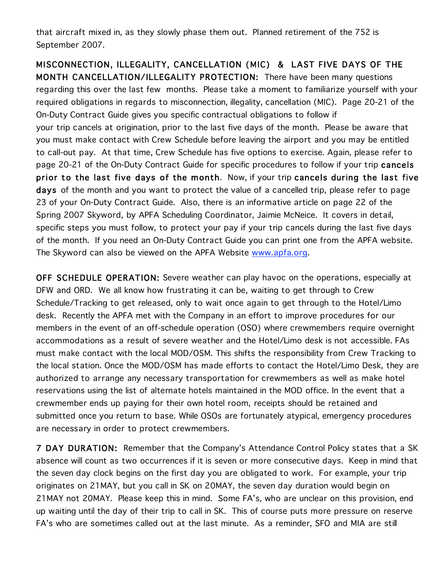that aircraft mixed in, as they slowly phase them out. Planned retirement of the 752 is September 2007.

MISCONNECTION, ILLEGALITY, CANCELLATION (MIC) & LAST FIVE DAYS OF THE MONTH CANCELLATION/ILLEGALITY PROTECTION: There have been many questions regarding this over the last few months. Please take a moment to familiarize yourself with your required obligations in regards to misconnection, illegality, cancellation (MIC). Page 20-21 of the On-Duty Contract Guide gives you specific contractual obligations to follow if your trip cancels at origination, prior to the last five days of the month. Please be aware that you must make contact with Crew Schedule before leaving the airport and you may be entitled to call-out pay. At that time, Crew Schedule has five options to exercise. Again, please refer to page 20-21 of the On-Duty Contract Guide for specific procedures to follow if your trip cancels prior to the last five days of the month. Now, if your trip cancels during the last five days of the month and you want to protect the value of a cancelled trip, please refer to page 23 of your On-Duty Contract Guide. Also, there is an informative article on page 22 of the Spring 2007 Skyword, by APFA Scheduling Coordinator, Jaimie McNeice. It covers in detail, specific steps you must follow, to protect your pay if your trip cancels during the last five days of the month. If you need an On-Duty Contract Guide you can print one from the APFA website. The Skyword can also be viewed on the APFA Website www.apfa.org.

OFF SCHEDULE OPERATION: Severe weather can play havoc on the operations, especially at DFW and ORD. We all know how frustrating it can be, waiting to get through to Crew Schedule/Tracking to get released, only to wait once again to get through to the Hotel/Limo desk. Recently the APFA met with the Company in an effort to improve procedures for our members in the event of an off-schedule operation (OSO) where crewmembers require overnight accommodations as a result of severe weather and the Hotel/Limo desk is not accessible. FAs must make contact with the local MOD/OSM. This shifts the responsibility from Crew Tracking to the local station. Once the MOD/OSM has made efforts to contact the Hotel/Limo Desk, they are authorized to arrange any necessary transportation for crewmembers as well as make hotel reservations using the list of alternate hotels maintained in the MOD office. In the event that a crewmember ends up paying for their own hotel room, receipts should be retained and submitted once you return to base. While OSOs are fortunately atypical, emergency procedures are necessary in order to protect crewmembers.

7 DAY DURATION: Remember that the Company's Attendance Control Policy states that a SK absence will count as two occurrences if it is seven or more consecutive days. Keep in mind that the seven day clock begins on the first day you are obligated to work. For example, your trip originates on 21MAY, but you call in SK on 20MAY, the seven day duration would begin on 21MAY not 20MAY. Please keep this in mind. Some FA's, who are unclear on this provision, end up waiting until the day of their trip to call in SK. This of course puts more pressure on reserve FA's who are sometimes called out at the last minute. As a reminder, SFO and MIA are still